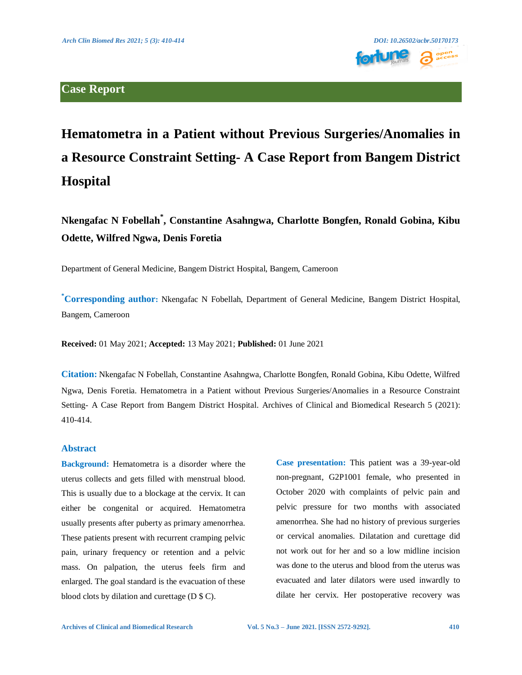

# **Hematometra in a Patient without Previous Surgeries/Anomalies in a Resource Constraint Setting- A Case Report from Bangem District Hospital**

**Nkengafac N Fobellah\* , Constantine Asahngwa, Charlotte Bongfen, Ronald Gobina, Kibu Odette, Wilfred Ngwa, Denis Foretia**

Department of General Medicine, Bangem District Hospital, Bangem, Cameroon

**\*Corresponding author:** Nkengafac N Fobellah, Department of General Medicine, Bangem District Hospital, Bangem, Cameroon

**Received:** 01 May 2021; **Accepted:** 13 May 2021; **Published:** 01 June 2021

**Citation:** Nkengafac N Fobellah, Constantine Asahngwa, Charlotte Bongfen, Ronald Gobina, Kibu Odette, Wilfred Ngwa, Denis Foretia. Hematometra in a Patient without Previous Surgeries/Anomalies in a Resource Constraint Setting- A Case Report from Bangem District Hospital. Archives of Clinical and Biomedical Research 5 (2021): 410-414.

## **Abstract**

**Background:** Hematometra is a disorder where the uterus collects and gets filled with menstrual blood. This is usually due to a blockage at the cervix. It can either be congenital or acquired. Hematometra usually presents after puberty as primary amenorrhea. These patients present with recurrent cramping pelvic pain, urinary frequency or retention and a pelvic mass. On palpation, the uterus feels firm and enlarged. The goal standard is the evacuation of these blood clots by dilation and curettage (D \$ C).

**Case presentation:** This patient was a 39-year-old non-pregnant, G2P1001 female, who presented in October 2020 with complaints of pelvic pain and pelvic pressure for two months with associated amenorrhea. She had no history of previous surgeries or cervical anomalies. Dilatation and curettage did not work out for her and so a low midline incision was done to the uterus and blood from the uterus was evacuated and later dilators were used inwardly to dilate her cervix. Her postoperative recovery was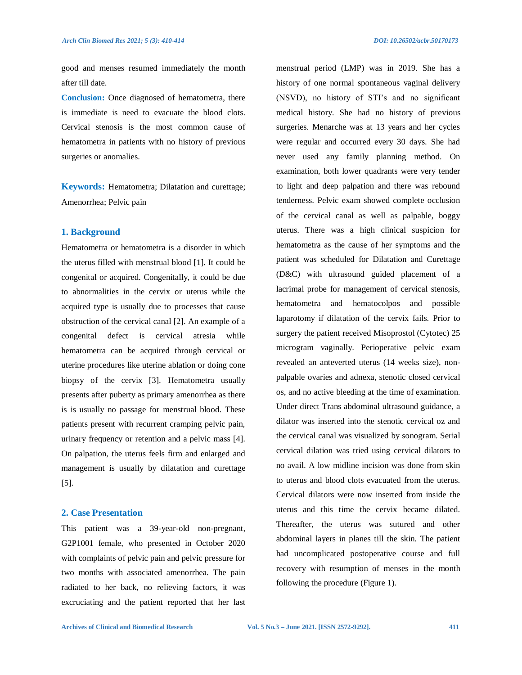good and menses resumed immediately the month after till date.

**Conclusion:** Once diagnosed of hematometra, there is immediate is need to evacuate the blood clots. Cervical stenosis is the most common cause of hematometra in patients with no history of previous surgeries or anomalies.

**Keywords:** Hematometra; Dilatation and curettage; Amenorrhea; Pelvic pain

#### **1. Background**

Hematometra or hematometra is a disorder in which the uterus filled with menstrual blood [1]. It could be congenital or acquired. Congenitally, it could be due to abnormalities in the cervix or uterus while the acquired type is usually due to processes that cause obstruction of the cervical canal [2]. An example of a congenital defect is cervical atresia while hematometra can be acquired through cervical or uterine procedures like uterine ablation or doing cone biopsy of the cervix [3]. Hematometra usually presents after puberty as primary amenorrhea as there is is usually no passage for menstrual blood. These patients present with recurrent cramping pelvic pain, urinary frequency or retention and a pelvic mass [4]. On palpation, the uterus feels firm and enlarged and management is usually by dilatation and curettage [5].

#### **2. Case Presentation**

This patient was a 39-year-old non-pregnant, G2P1001 female, who presented in October 2020 with complaints of pelvic pain and pelvic pressure for two months with associated amenorrhea. The pain radiated to her back, no relieving factors, it was excruciating and the patient reported that her last menstrual period (LMP) was in 2019. She has a history of one normal spontaneous vaginal delivery (NSVD), no history of STI's and no significant medical history. She had no history of previous surgeries. Menarche was at 13 years and her cycles were regular and occurred every 30 days. She had never used any family planning method. On examination, both lower quadrants were very tender to light and deep palpation and there was rebound tenderness. Pelvic exam showed complete occlusion of the cervical canal as well as palpable, boggy uterus. There was a high clinical suspicion for hematometra as the cause of her symptoms and the patient was scheduled for Dilatation and Curettage (D&C) with ultrasound guided placement of a lacrimal probe for management of cervical stenosis, hematometra and hematocolpos and possible laparotomy if dilatation of the cervix fails. Prior to surgery the patient received Misoprostol (Cytotec) 25 microgram vaginally. Perioperative pelvic exam revealed an anteverted uterus (14 weeks size), nonpalpable ovaries and adnexa, stenotic closed cervical os, and no active bleeding at the time of examination. Under direct Trans abdominal ultrasound guidance, a dilator was inserted into the stenotic cervical oz and the cervical canal was visualized by sonogram. Serial cervical dilation was tried using cervical dilators to no avail. A low midline incision was done from skin to uterus and blood clots evacuated from the uterus. Cervical dilators were now inserted from inside the uterus and this time the cervix became dilated. Thereafter, the uterus was sutured and other abdominal layers in planes till the skin. The patient had uncomplicated postoperative course and full recovery with resumption of menses in the month following the procedure (Figure 1).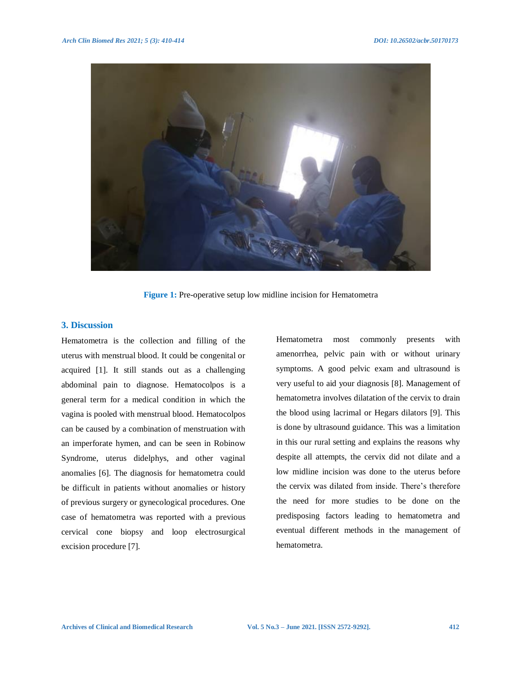

**Figure 1:** Pre-operative setup low midline incision for Hematometra

# **3. Discussion**

Hematometra is the collection and filling of the uterus with menstrual blood. It could be congenital or acquired [1]. It still stands out as a challenging abdominal pain to diagnose. Hematocolpos is a general term for a medical condition in which the vagina is pooled with menstrual blood. Hematocolpos can be caused by a combination of menstruation with an imperforate hymen, and can be seen in Robinow Syndrome, uterus didelphys, and other vaginal anomalies [6]. The diagnosis for hematometra could be difficult in patients without anomalies or history of previous surgery or gynecological procedures. One case of hematometra was reported with a previous cervical cone biopsy and loop electrosurgical excision procedure [7].

Hematometra most commonly presents with amenorrhea, pelvic pain with or without urinary symptoms. A good pelvic exam and ultrasound is very useful to aid your diagnosis [8]. Management of hematometra involves dilatation of the cervix to drain the blood using lacrimal or Hegars dilators [9]. This is done by ultrasound guidance. This was a limitation in this our rural setting and explains the reasons why despite all attempts, the cervix did not dilate and a low midline incision was done to the uterus before the cervix was dilated from inside. There's therefore the need for more studies to be done on the predisposing factors leading to hematometra and eventual different methods in the management of hematometra.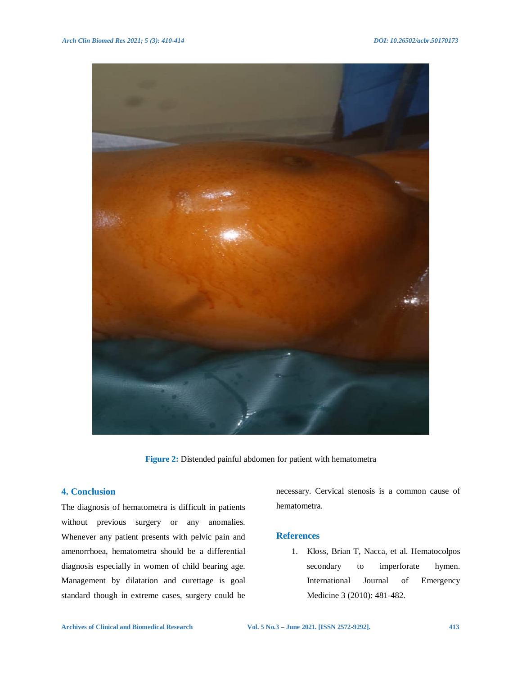

**Figure 2:** Distended painful abdomen for patient with hematometra

# **4. Conclusion**

The diagnosis of hematometra is difficult in patients without previous surgery or any anomalies. Whenever any patient presents with pelvic pain and amenorrhoea, hematometra should be a differential diagnosis especially in women of child bearing age. Management by dilatation and curettage is goal standard though in extreme cases, surgery could be

necessary. Cervical stenosis is a common cause of hematometra.

## **References**

1. Kloss, Brian T, Nacca, et al. Hematocolpos secondary to imperforate hymen. International Journal of Emergency Medicine 3 (2010): 481-482.